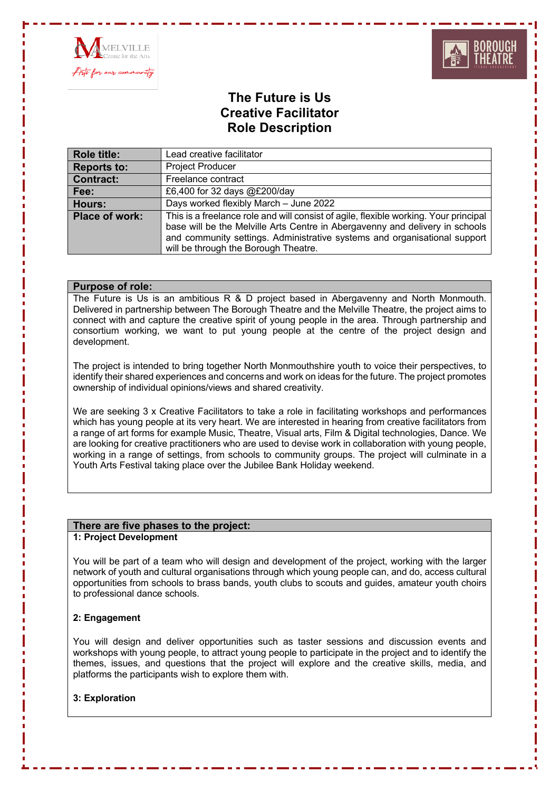



# **The Future is Us Creative Facilitator Role Description**

| <b>Role title:</b> | Lead creative facilitator                                                                                                                                                                                                                                                                 |
|--------------------|-------------------------------------------------------------------------------------------------------------------------------------------------------------------------------------------------------------------------------------------------------------------------------------------|
| <b>Reports to:</b> | <b>Project Producer</b>                                                                                                                                                                                                                                                                   |
| <b>Contract:</b>   | Freelance contract                                                                                                                                                                                                                                                                        |
| Fee:               | £6,400 for 32 days @£200/day                                                                                                                                                                                                                                                              |
| Hours:             | Days worked flexibly March - June 2022                                                                                                                                                                                                                                                    |
| Place of work:     | This is a freelance role and will consist of agile, flexible working. Your principal<br>base will be the Melville Arts Centre in Abergavenny and delivery in schools<br>and community settings. Administrative systems and organisational support<br>will be through the Borough Theatre. |

## **Purpose of role:**

The Future is Us is an ambitious R & D project based in Abergavenny and North Monmouth. Delivered in partnership between The Borough Theatre and the Melville Theatre, the project aims to connect with and capture the creative spirit of young people in the area. Through partnership and consortium working, we want to put young people at the centre of the project design and development.

The project is intended to bring together North Monmouthshire youth to voice their perspectives, to identify their shared experiences and concerns and work on ideas for the future. The project promotes ownership of individual opinions/views and shared creativity.

We are seeking 3 x Creative Facilitators to take a role in facilitating workshops and performances which has young people at its very heart. We are interested in hearing from creative facilitators from a range of art forms for example Music, Theatre, Visual arts, Film & Digital technologies, Dance. We are looking for creative practitioners who are used to devise work in collaboration with young people, working in a range of settings, from schools to community groups. The project will culminate in a Youth Arts Festival taking place over the Jubilee Bank Holiday weekend.

#### **There are five phases to the project:**

## **1: Project Development**

You will be part of a team who will design and development of the project, working with the larger network of youth and cultural organisations through which young people can, and do, access cultural opportunities from schools to brass bands, youth clubs to scouts and guides, amateur youth choirs to professional dance schools.

#### **2: Engagement**

You will design and deliver opportunities such as taster sessions and discussion events and workshops with young people, to attract young people to participate in the project and to identify the themes, issues, and questions that the project will explore and the creative skills, media, and platforms the participants wish to explore them with.

## **3: Exploration**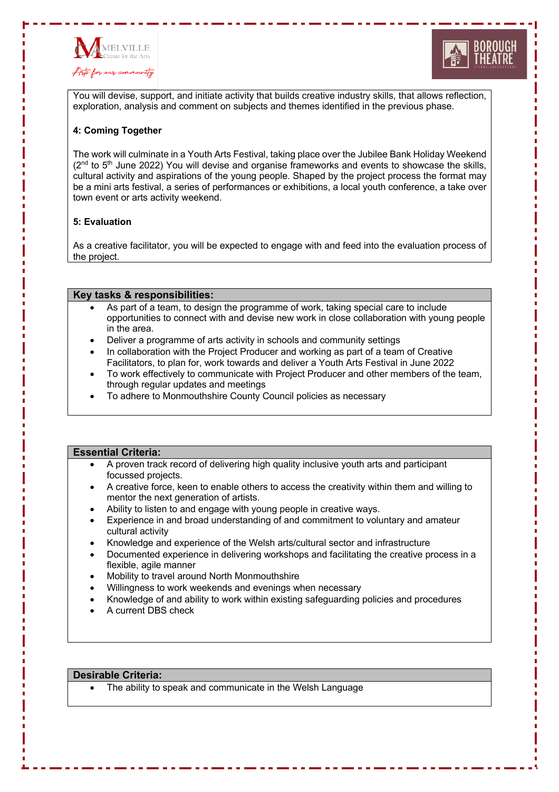



You will devise, support, and initiate activity that builds creative industry skills, that allows reflection, exploration, analysis and comment on subjects and themes identified in the previous phase.

### **4: Coming Together**

The work will culminate in a Youth Arts Festival, taking place over the Jubilee Bank Holiday Weekend  $(2<sup>nd</sup>$  to  $5<sup>th</sup>$  June 2022) You will devise and organise frameworks and events to showcase the skills, cultural activity and aspirations of the young people. Shaped by the project process the format may be a mini arts festival, a series of performances or exhibitions, a local youth conference, a take over town event or arts activity weekend.

#### **5: Evaluation**

As a creative facilitator, you will be expected to engage with and feed into the evaluation process of the project.

#### **Key tasks & responsibilities:**

- As part of a team, to design the programme of work, taking special care to include opportunities to connect with and devise new work in close collaboration with young people in the area.
- Deliver a programme of arts activity in schools and community settings
- In collaboration with the Project Producer and working as part of a team of Creative Facilitators, to plan for, work towards and deliver a Youth Arts Festival in June 2022
- To work effectively to communicate with Project Producer and other members of the team, through regular updates and meetings
- To adhere to Monmouthshire County Council policies as necessary

#### **Essential Criteria:**

- A proven track record of delivering high quality inclusive youth arts and participant focussed projects.
- A creative force, keen to enable others to access the creativity within them and willing to mentor the next generation of artists.
- Ability to listen to and engage with young people in creative ways.
- Experience in and broad understanding of and commitment to voluntary and amateur cultural activity
- Knowledge and experience of the Welsh arts/cultural sector and infrastructure
- Documented experience in delivering workshops and facilitating the creative process in a flexible, agile manner
- Mobility to travel around North Monmouthshire
- Willingness to work weekends and evenings when necessary
- Knowledge of and ability to work within existing safeguarding policies and procedures
- A current DBS check

#### **Desirable Criteria:**

The ability to speak and communicate in the Welsh Language